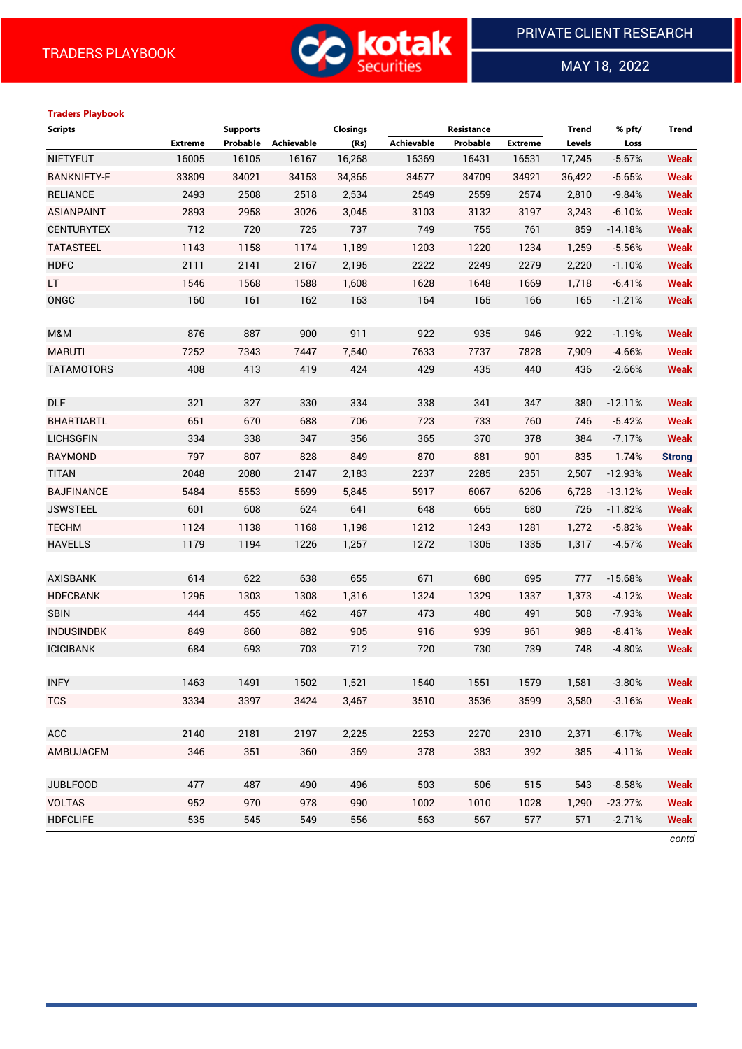

 $\overline{a}$ 

MAY 18, 2022

| <b>Traders Playbook</b> |                |                 |            |                 |                   |                   |                |              |           |               |
|-------------------------|----------------|-----------------|------------|-----------------|-------------------|-------------------|----------------|--------------|-----------|---------------|
| <b>Scripts</b>          |                | <b>Supports</b> |            | <b>Closings</b> |                   | <b>Resistance</b> |                | <b>Trend</b> | % pft/    | <b>Trend</b>  |
|                         | <b>Extreme</b> | Probable        | Achievable | (Rs)            | <b>Achievable</b> | Probable          | <b>Extreme</b> | Levels       | Loss      |               |
| <b>NIFTYFUT</b>         | 16005          | 16105           | 16167      | 16,268          | 16369             | 16431             | 16531          | 17,245       | $-5.67%$  | <b>Weak</b>   |
| <b>BANKNIFTY-F</b>      | 33809          | 34021           | 34153      | 34,365          | 34577             | 34709             | 34921          | 36,422       | $-5.65%$  | <b>Weak</b>   |
| <b>RELIANCE</b>         | 2493           | 2508            | 2518       | 2,534           | 2549              | 2559              | 2574           | 2,810        | $-9.84%$  | <b>Weak</b>   |
| <b>ASIANPAINT</b>       | 2893           | 2958            | 3026       | 3,045           | 3103              | 3132              | 3197           | 3,243        | $-6.10%$  | <b>Weak</b>   |
| <b>CENTURYTEX</b>       | 712            | 720             | 725        | 737             | 749               | 755               | 761            | 859          | $-14.18%$ | <b>Weak</b>   |
| <b>TATASTEEL</b>        | 1143           | 1158            | 1174       | 1,189           | 1203              | 1220              | 1234           | 1,259        | $-5.56%$  | <b>Weak</b>   |
| <b>HDFC</b>             | 2111           | 2141            | 2167       | 2,195           | 2222              | 2249              | 2279           | 2,220        | $-1.10%$  | <b>Weak</b>   |
| LT.                     | 1546           | 1568            | 1588       | 1,608           | 1628              | 1648              | 1669           | 1,718        | $-6.41%$  | <b>Weak</b>   |
| ONGC                    | 160            | 161             | 162        | 163             | 164               | 165               | 166            | 165          | $-1.21%$  | <b>Weak</b>   |
|                         |                |                 |            |                 |                   |                   |                |              |           |               |
| M&M                     | 876            | 887             | 900        | 911             | 922               | 935               | 946            | 922          | $-1.19%$  | <b>Weak</b>   |
| <b>MARUTI</b>           | 7252           | 7343            | 7447       | 7,540           | 7633              | 7737              | 7828           | 7,909        | $-4.66%$  | <b>Weak</b>   |
| <b>TATAMOTORS</b>       | 408            | 413             | 419        | 424             | 429               | 435               | 440            | 436          | $-2.66%$  | <b>Weak</b>   |
|                         |                |                 |            |                 |                   |                   |                |              |           |               |
| <b>DLF</b>              | 321            | 327             | 330        | 334             | 338               | 341               | 347            | 380          | $-12.11%$ | <b>Weak</b>   |
| <b>BHARTIARTL</b>       | 651            | 670             | 688        | 706             | 723               | 733               | 760            | 746          | $-5.42%$  | <b>Weak</b>   |
| <b>LICHSGFIN</b>        | 334            | 338             | 347        | 356             | 365               | 370               | 378            | 384          | $-7.17%$  | <b>Weak</b>   |
| RAYMOND                 | 797            | 807             | 828        | 849             | 870               | 881               | 901            | 835          | 1.74%     | <b>Strong</b> |
| <b>TITAN</b>            | 2048           | 2080            | 2147       | 2,183           | 2237              | 2285              | 2351           | 2,507        | $-12.93%$ | <b>Weak</b>   |
| <b>BAJFINANCE</b>       | 5484           | 5553            | 5699       | 5,845           | 5917              | 6067              | 6206           | 6,728        | $-13.12%$ | <b>Weak</b>   |
| <b>JSWSTEEL</b>         | 601            | 608             | 624        | 641             | 648               | 665               | 680            | 726          | $-11.82%$ | <b>Weak</b>   |
| <b>TECHM</b>            | 1124           | 1138            | 1168       | 1,198           | 1212              | 1243              | 1281           | 1,272        | $-5.82%$  | <b>Weak</b>   |
| <b>HAVELLS</b>          | 1179           | 1194            | 1226       | 1,257           | 1272              | 1305              | 1335           | 1,317        | $-4.57%$  | <b>Weak</b>   |
|                         |                |                 |            |                 |                   |                   |                |              |           |               |
| <b>AXISBANK</b>         | 614            | 622             | 638        | 655             | 671               | 680               | 695            | 777          | $-15.68%$ | <b>Weak</b>   |
| <b>HDFCBANK</b>         | 1295           | 1303            | 1308       | 1,316           | 1324              | 1329              | 1337           | 1,373        | $-4.12%$  | <b>Weak</b>   |
| <b>SBIN</b>             | 444            | 455             | 462        | 467             | 473               | 480               | 491            | 508          | $-7.93%$  | <b>Weak</b>   |
| <b>INDUSINDBK</b>       | 849            | 860             | 882        | 905             | 916               | 939               | 961            | 988          | $-8.41%$  | <b>Weak</b>   |
| <b>ICICIBANK</b>        | 684            | 693             | 703        | 712             | 720               | 730               | 739            | 748          | $-4.80%$  | <b>Weak</b>   |
|                         |                |                 |            |                 |                   |                   |                |              |           |               |
| <b>INFY</b>             | 1463           | 1491            | 1502       | 1,521           | 1540              | 1551              | 1579           | 1,581        | $-3.80%$  | <b>Weak</b>   |
| <b>TCS</b>              | 3334           | 3397            | 3424       | 3,467           | 3510              | 3536              | 3599           | 3,580        | $-3.16%$  | <b>Weak</b>   |
|                         |                |                 |            |                 |                   |                   |                |              |           |               |
| ACC                     | 2140           | 2181            | 2197       | 2,225           | 2253              | 2270              | 2310           | 2,371        | $-6.17%$  | <b>Weak</b>   |
| AMBUJACEM               | 346            | 351             | 360        | 369             | 378               | 383               | 392            | 385          | $-4.11%$  | <b>Weak</b>   |
|                         |                |                 |            |                 |                   |                   |                |              |           |               |
| <b>JUBLFOOD</b>         | 477            | 487             | 490        | 496             | 503               | 506               | 515            | 543          | $-8.58%$  | <b>Weak</b>   |
| <b>VOLTAS</b>           | 952            | 970             | 978        | 990             | 1002              | 1010              | 1028           | 1,290        | $-23.27%$ | <b>Weak</b>   |
| <b>HDFCLIFE</b>         | 535            | 545             | 549        | 556             | 563               | 567               | 577            | 571          | $-2.71%$  | <b>Weak</b>   |

*contd*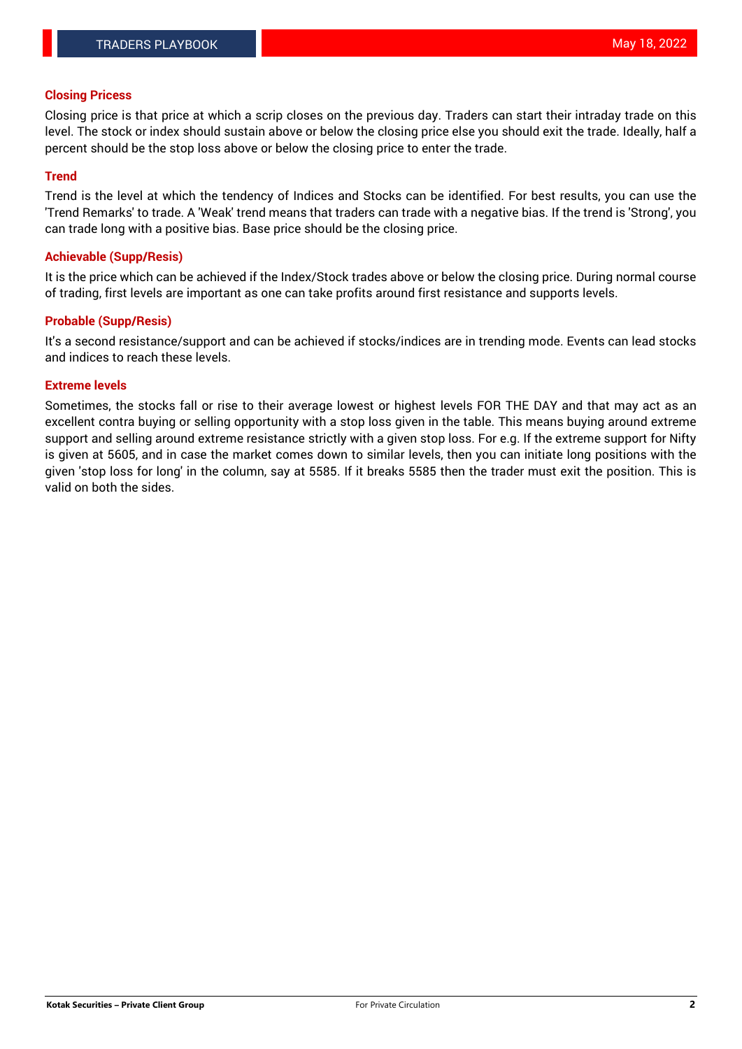# **Closing Pricess**

Closing price is that price at which a scrip closes on the previous day. Traders can start their intraday trade on this level. The stock or index should sustain above or below the closing price else you should exit the trade. Ideally, half a percent should be the stop loss above or below the closing price to enter the trade.

# **Trend**

Trend is the level at which the tendency of Indices and Stocks can be identified. For best results, you can use the 'Trend Remarks' to trade. A 'Weak' trend means that traders can trade with a negative bias. If the trend is 'Strong', you can trade long with a positive bias. Base price should be the closing price.

# **Achievable (Supp/Resis)**

It is the price which can be achieved if the Index/Stock trades above or below the closing price. During normal course of trading, first levels are important as one can take profits around first resistance and supports levels.

# **Probable (Supp/Resis)**

It's a second resistance/support and can be achieved if stocks/indices are in trending mode. Events can lead stocks and indices to reach these levels.

# **Extreme levels**

Sometimes, the stocks fall or rise to their average lowest or highest levels FOR THE DAY and that may act as an excellent contra buying or selling opportunity with a stop loss given in the table. This means buying around extreme support and selling around extreme resistance strictly with a given stop loss. For e.g. If the extreme support for Nifty is given at 5605, and in case the market comes down to similar levels, then you can initiate long positions with the given 'stop loss for long' in the column, say at 5585. If it breaks 5585 then the trader must exit the position. This is valid on both the sides.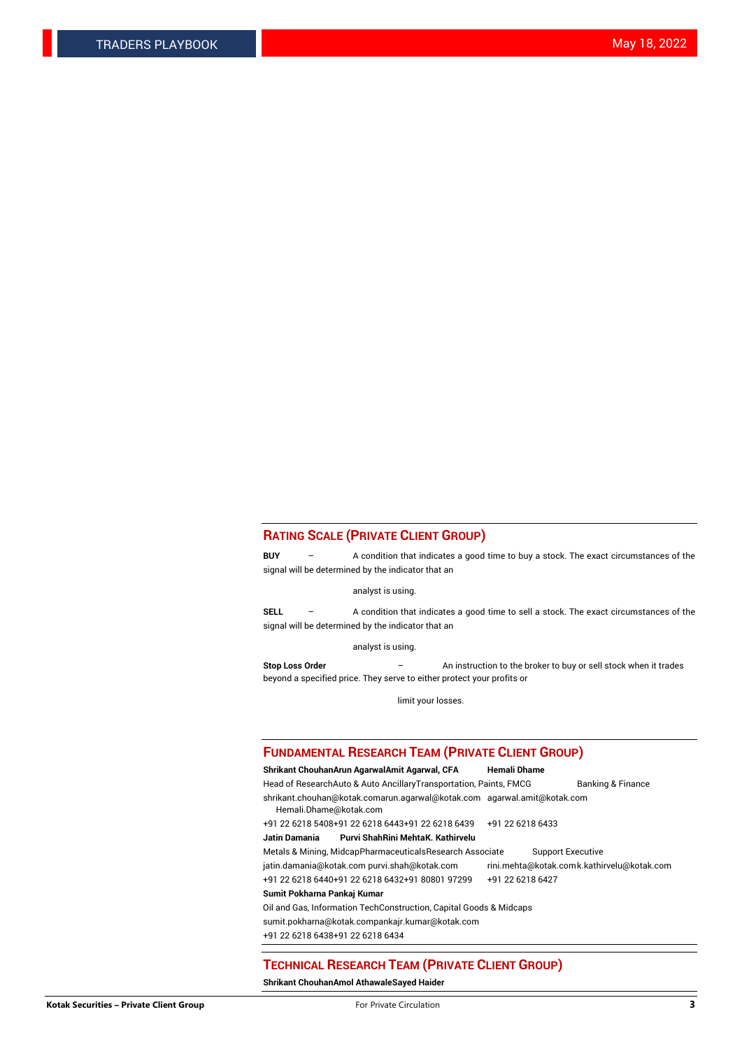### **RATING SCALE (PRIVATE CLIENT GROUP)**

**BUY** – A condition that indicates a good time to buy a stock. The exact circumstances of the signal will be determined by the indicator that an

analyst is using.

**SELL** – A condition that indicates a good time to sell a stock. The exact circumstances of the signal will be determined by the indicator that an

analyst is using.

**Stop Loss Order** – An instruction to the broker to buy or sell stock when it trades beyond a specified price. They serve to either protect your profits or

limit your losses.

#### **FUNDAMENTAL RESEARCH TEAM (PRIVATE CLIENT GROUP)**

**Shrikant ChouhanArun AgarwalAmit Agarwal, CFA Hemali Dhame** Head of ResearchAuto & Auto AncillaryTransportation, Paints, FMCG Banking & Finance shrikant.chouhan@kotak.comarun.agarwal@kotak.com agarwal.amit@kotak.com Hemali.Dhame@kotak.com +91 22 6218 5408+91 22 6218 6443+91 22 6218 6439 +91 22 6218 6433 **Jatin Damania Purvi ShahRini MehtaK. Kathirvelu** Metals & Mining, MidcapPharmaceuticalsResearch Associate Support Executive jatin.damania@kotak.com [purvi.shah@kotak.com](mailto:purvi.shah@kotak.com) rini.mehta@kotak.co[mk.kathirvelu@kotak.com](mailto:k.kathirvelu@kotak.com) +91 22 6218 6440+91 22 6218 6432+91 80801 97299 +91 22 6218 6427

### **Sumit Pokharna Pankaj Kumar**

Oil and Gas, Information TechConstruction, Capital Goods & Midcaps

sumit.pokharna@kotak.compankajr.kumar@kotak.com

+91 22 6218 6438+91 22 6218 6434

### **TECHNICAL RESEARCH TEAM (PRIVATE CLIENT GROUP)**

**Shrikant ChouhanAmol AthawaleSayed Haider**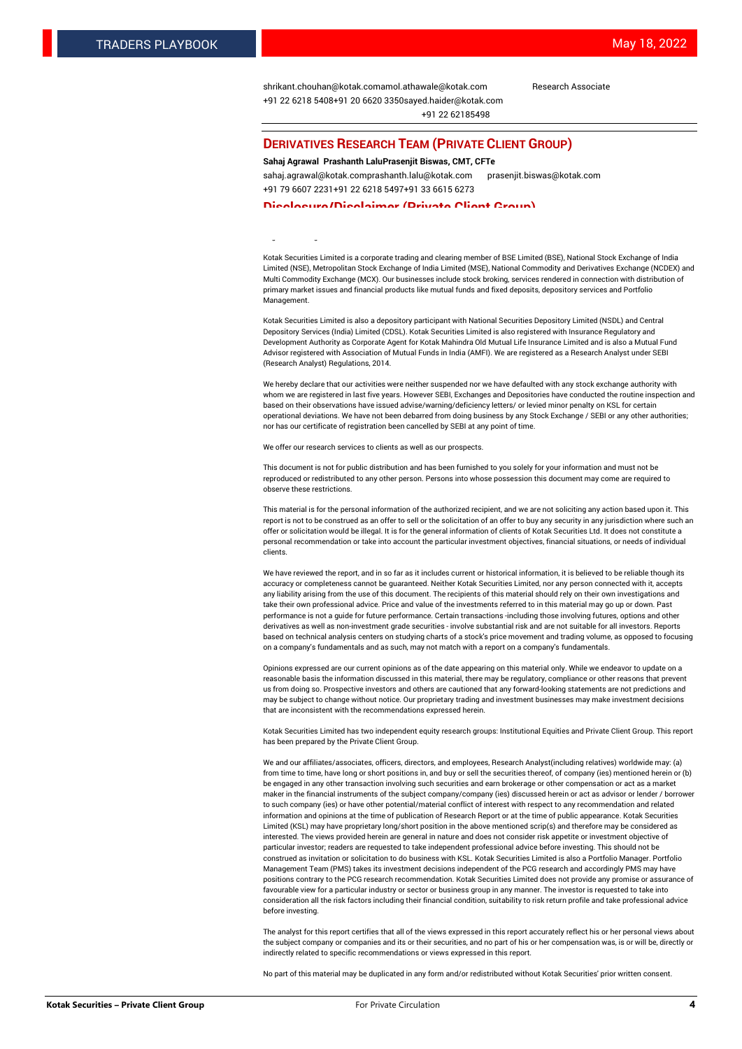[shrikant.chouhan@kotak.com](mailto:shrikant.chouhan@kotak.com)[amol.athawale@kotak.com](mailto:amol.athawale@kotak.com) Research Associate +91 22 6218 5408+91 20 6620 335[0sayed.haider@kotak.com](mailto:sayed.haider@kotak.com) +91 22 62185498

#### **DERIVATIVES RESEARCH TEAM (PRIVATE CLIENT GROUP)**

#### **Sahaj Agrawal Prashanth LaluPrasenjit Biswas, CMT, CFTe**

[sahaj.agrawal@kotak.com](mailto:sahaj.agrawal@kotak.com)[prashanth.lalu@kotak.com](mailto:prashanth.lalu@kotak.com) [prasenjit.biswas@kotak.com](mailto:prasenjit.biswas@kotak.com) +91 79 6607 2231+91 22 6218 5497+91 33 6615 6273

#### **Disclosure/Disclaimer (Private Client Group)**

largest brokerage and distribution house.

Kotak Securities Limited is a corporate trading and clearing member of BSE Limited (BSE), National Stock Exchange of India Limited (NSE), Metropolitan Stock Exchange of India Limited (MSE), National Commodity and Derivatives Exchange (NCDEX) and Multi Commodity Exchange (MCX). Our businesses include stock broking, services rendered in connection with distribution of primary market issues and financial products like mutual funds and fixed deposits, depository services and Portfolio Management.

Kotak Securities Limited is also a depository participant with National Securities Depository Limited (NSDL) and Central Depository Services (India) Limited (CDSL). Kotak Securities Limited is also registered with Insurance Regulatory and Development Authority as Corporate Agent for Kotak Mahindra Old Mutual Life Insurance Limited and is also a Mutual Fund Advisor registered with Association of Mutual Funds in India (AMFI). We are registered as a Research Analyst under SEBI (Research Analyst) Regulations, 2014.

We hereby declare that our activities were neither suspended nor we have defaulted with any stock exchange authority with whom we are registered in last five years. However SEBI, Exchanges and Depositories have conducted the routine inspection and based on their observations have issued advise/warning/deficiency letters/ or levied minor penalty on KSL for certain operational deviations. We have not been debarred from doing business by any Stock Exchange / SEBI or any other authorities; nor has our certificate of registration been cancelled by SEBI at any point of time.

We offer our research services to clients as well as our prospects.

This document is not for public distribution and has been furnished to you solely for your information and must not be reproduced or redistributed to any other person. Persons into whose possession this document may come are required to observe these restrictions.

This material is for the personal information of the authorized recipient, and we are not soliciting any action based upon it. This report is not to be construed as an offer to sell or the solicitation of an offer to buy any security in any jurisdiction where such an offer or solicitation would be illegal. It is for the general information of clients of Kotak Securities Ltd. It does not constitute a personal recommendation or take into account the particular investment objectives, financial situations, or needs of individual clients.

We have reviewed the report, and in so far as it includes current or historical information, it is believed to be reliable though its accuracy or completeness cannot be guaranteed. Neither Kotak Securities Limited, nor any person connected with it, accepts any liability arising from the use of this document. The recipients of this material should rely on their own investigations and take their own professional advice. Price and value of the investments referred to in this material may go up or down. Past performance is not a guide for future performance. Certain transactions -including those involving futures, options and other derivatives as well as non-investment grade securities - involve substantial risk and are not suitable for all investors. Reports based on technical analysis centers on studying charts of a stock's price movement and trading volume, as opposed to focusing on a company's fundamentals and as such, may not match with a report on a company's fundamentals.

Opinions expressed are our current opinions as of the date appearing on this material only. While we endeavor to update on a reasonable basis the information discussed in this material, there may be regulatory, compliance or other reasons that prevent us from doing so. Prospective investors and others are cautioned that any forward-looking statements are not predictions and may be subject to change without notice. Our proprietary trading and investment businesses may make investment decisions that are inconsistent with the recommendations expressed herein.

Kotak Securities Limited has two independent equity research groups: Institutional Equities and Private Client Group. This report has been prepared by the Private Client Group.

We and our affiliates/associates, officers, directors, and employees, Research Analyst(including relatives) worldwide may: (a) from time to time, have long or short positions in, and buy or sell the securities thereof, of company (ies) mentioned herein or (b) be engaged in any other transaction involving such securities and earn brokerage or other compensation or act as a market maker in the financial instruments of the subject company/company (ies) discussed herein or act as advisor or lender / borrower to such company (ies) or have other potential/material conflict of interest with respect to any recommendation and related information and opinions at the time of publication of Research Report or at the time of public appearance. Kotak Securities Limited (KSL) may have proprietary long/short position in the above mentioned scrip(s) and therefore may be considered as interested. The views provided herein are general in nature and does not consider risk appetite or investment objective of particular investor; readers are requested to take independent professional advice before investing. This should not be construed as invitation or solicitation to do business with KSL. Kotak Securities Limited is also a Portfolio Manager. Portfolio Management Team (PMS) takes its investment decisions independent of the PCG research and accordingly PMS may have positions contrary to the PCG research recommendation. Kotak Securities Limited does not provide any promise or assurance of favourable view for a particular industry or sector or business group in any manner. The investor is requested to take into consideration all the risk factors including their financial condition, suitability to risk return profile and take professional advice before investing.

The analyst for this report certifies that all of the views expressed in this report accurately reflect his or her personal views about the subject company or companies and its or their securities, and no part of his or her compensation was, is or will be, directly or indirectly related to specific recommendations or views expressed in this report.

No part of this material may be duplicated in any form and/or redistributed without Kotak Securities' prior written consent.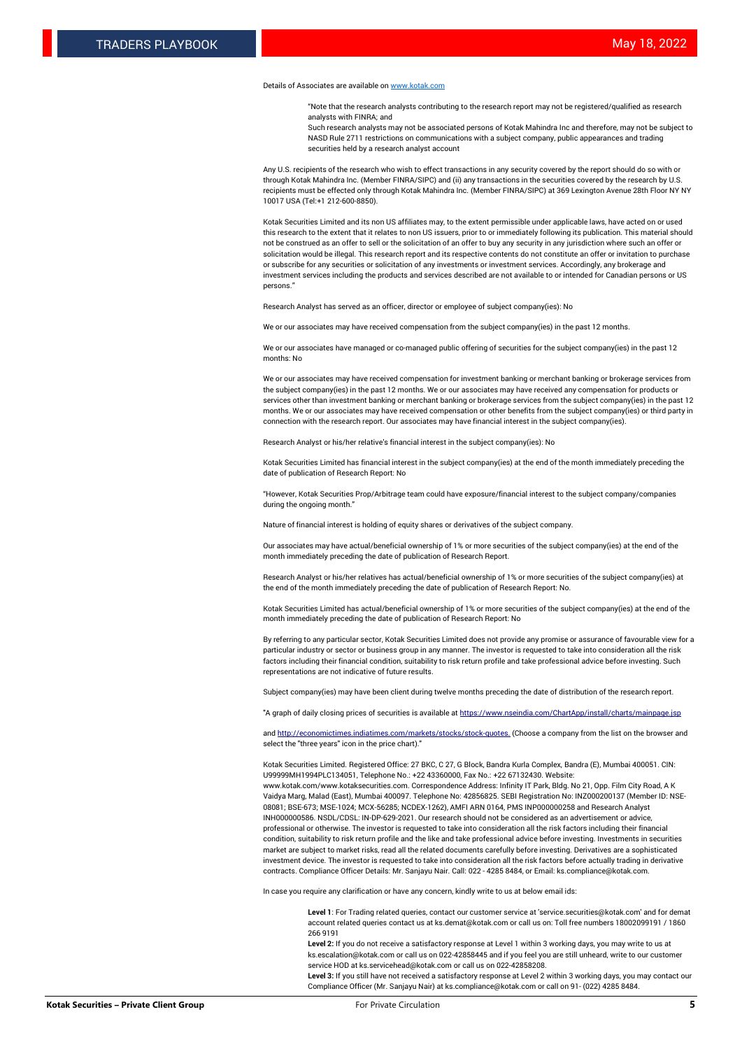#### Details of Associates are available o[n www.kotak.com](http://www.kotak.com/)

"Note that the research analysts contributing to the research report may not be registered/qualified as research analysts with FINRA; and

Such research analysts may not be associated persons of Kotak Mahindra Inc and therefore, may not be subject to NASD Rule 2711 restrictions on communications with a subject company, public appearances and trading securities held by a research analyst account

Any U.S. recipients of the research who wish to effect transactions in any security covered by the report should do so with or through Kotak Mahindra Inc. (Member FINRA/SIPC) and (ii) any transactions in the securities covered by the research by U.S. recipients must be effected only through Kotak Mahindra Inc. (Member FINRA/SIPC) at 369 Lexington Avenue 28th Floor NY NY 10017 USA (Tel:+1 212-600-8850).

Kotak Securities Limited and its non US affiliates may, to the extent permissible under applicable laws, have acted on or used this research to the extent that it relates to non US issuers, prior to or immediately following its publication. This material should not be construed as an offer to sell or the solicitation of an offer to buy any security in any jurisdiction where such an offer or solicitation would be illegal. This research report and its respective contents do not constitute an offer or invitation to purchase or subscribe for any securities or solicitation of any investments or investment services. Accordingly, any brokerage and investment services including the products and services described are not available to or intended for Canadian persons or US persons."

Research Analyst has served as an officer, director or employee of subject company(ies): No

We or our associates may have received compensation from the subject company(ies) in the past 12 months.

We or our associates have managed or co-managed public offering of securities for the subject company(ies) in the past 12 months: No

We or our associates may have received compensation for investment banking or merchant banking or brokerage services from the subject company(ies) in the past 12 months. We or our associates may have received any compensation for products or services other than investment banking or merchant banking or brokerage services from the subject company(ies) in the past 12 months. We or our associates may have received compensation or other benefits from the subject company(ies) or third party in connection with the research report. Our associates may have financial interest in the subject company(ies).

Research Analyst or his/her relative's financial interest in the subject company(ies): No

Kotak Securities Limited has financial interest in the subject company(ies) at the end of the month immediately preceding the date of publication of Research Report: No

"However, Kotak Securities Prop/Arbitrage team could have exposure/financial interest to the subject company/companies during the ongoing month."

Nature of financial interest is holding of equity shares or derivatives of the subject company.

Our associates may have actual/beneficial ownership of 1% or more securities of the subject company(ies) at the end of the month immediately preceding the date of publication of Research Report.

Research Analyst or his/her relatives has actual/beneficial ownership of 1% or more securities of the subject company(ies) at the end of the month immediately preceding the date of publication of Research Report: No.

Kotak Securities Limited has actual/beneficial ownership of 1% or more securities of the subject company(ies) at the end of the month immediately preceding the date of publication of Research Report: No

By referring to any particular sector, Kotak Securities Limited does not provide any promise or assurance of favourable view for a particular industry or sector or business group in any manner. The investor is requested to take into consideration all the risk factors including their financial condition, suitability to risk return profile and take professional advice before investing. Such representations are not indicative of future results.

Subject company(ies) may have been client during twelve months preceding the date of distribution of the research report.

"A graph of daily closing prices of securities is available at https://www.nseindia.com/ChartApp/install/charts/main

and http://economictimes.indiatimes.com/markets/stocks/stock-quotes. (Choose a company from the list on the browser and select the "three years" icon in the price chart)."

Kotak Securities Limited. Registered Office: 27 BKC, C 27, G Block, Bandra Kurla Complex, Bandra (E), Mumbai 400051. CIN: U99999MH1994PLC134051, Telephone No.: +22 43360000, Fax No.: +22 67132430. Website:

www.kotak.com/www.kotaksecurities.com. Correspondence Address: Infinity IT Park, Bldg. No 21, Opp. Film City Road, A K Vaidya Marg, Malad (East), Mumbai 400097. Telephone No: 42856825. SEBI Registration No: INZ000200137 (Member ID: NSE-08081; BSE-673; MSE-1024; MCX-56285; NCDEX-1262), AMFI ARN 0164, PMS INP000000258 and Research Analyst INH000000586. NSDL/CDSL: IN-DP-629-2021. Our research should not be considered as an advertisement or advice, professional or otherwise. The investor is requested to take into consideration all the risk factors including their financial condition, suitability to risk return profile and the like and take professional advice before investing. Investments in securities market are subject to market risks, read all the related documents carefully before investing. Derivatives are a sophisticated investment device. The investor is requested to take into consideration all the risk factors before actually trading in derivative contracts. Compliance Officer Details: Mr. Sanjayu Nair. Call: 022 - 4285 8484, or Email: ks.compliance@kotak.com.

In case you require any clarification or have any concern, kindly write to us at below email ids:

**Level 1**: For Trading related queries, contact our customer service at 'service.securities@kotak.com' and for demat account related queries contact us at ks.demat@kotak.com or call us on: Toll free numbers 18002099191 / 1860 266 9191

**Level 2:** If you do not receive a satisfactory response at Level 1 within 3 working days, you may write to us at ks.escalation@kotak.com or call us on 022-42858445 and if you feel you are still unheard, write to our customer service HOD at ks.servicehead@kotak.com or call us on 022-42858208.

**Level 3:** If you still have not received a satisfactory response at Level 2 within 3 working days, you may contact our Compliance Officer (Mr. Sanjayu Nair) at ks.compliance@kotak.com or call on 91- (022) 4285 8484.